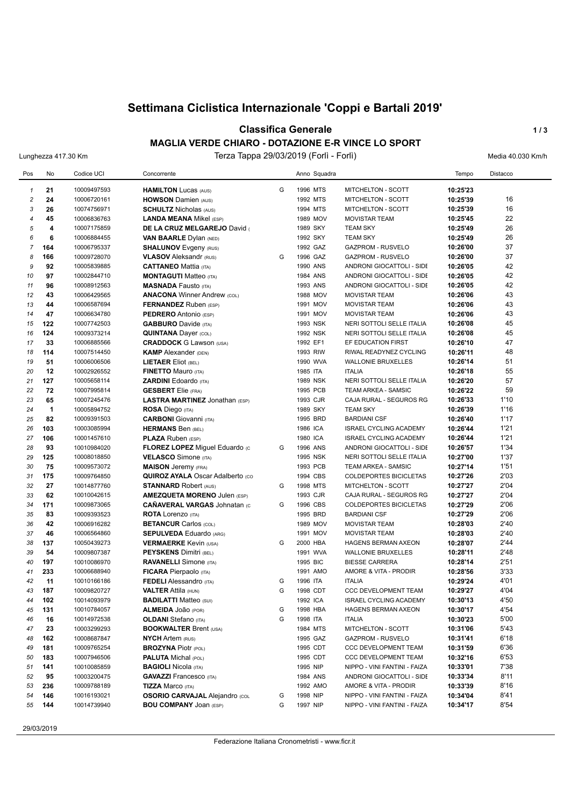# **Settimana Ciclistica Internazionale 'Coppi e Bartali 2019'**

### **Classifica Generale 1/3**

#### **MAGLIA VERDE CHIARO - DOTAZIONE E-R VINCE LO SPORT**

Lunghezza 417.30 Km Terza Tappa 29/03/2019 (Forlì - Forlì) Media 40.030 Km/h

| Pos            | No                   | Codice UCI                 | Concorrente                             |        | Anno Squadra         |                                                              | Tempo    | Distacco |
|----------------|----------------------|----------------------------|-----------------------------------------|--------|----------------------|--------------------------------------------------------------|----------|----------|
| $\mathbf{1}$   | 21                   | 10009497593                | <b>HAMILTON Lucas (AUS)</b>             | G      | 1996 MTS             | MITCHELTON - SCOTT                                           | 10:25'23 |          |
| $\overline{c}$ | 24                   | 10006720161                | <b>HOWSON Damien (AUS)</b>              |        | 1992 MTS             | <b>MITCHELTON - SCOTT</b>                                    | 10:25'39 | 16       |
| 3              | 26                   | 10074756971                | <b>SCHULTZ Nicholas (AUS)</b>           |        | 1994 MTS             | MITCHELTON - SCOTT                                           | 10:25'39 | 16       |
| $\overline{4}$ | 45                   | 10006836763                | <b>LANDA MEANA Mikel (ESP)</b>          |        | 1989 MOV             | <b>MOVISTAR TEAM</b>                                         | 10:25'45 | 22       |
| 5              | 4                    | 10007175859                | DE LA CRUZ MELGAREJO David              |        | 1989 SKY             | <b>TEAM SKY</b>                                              | 10:25'49 | 26       |
| 6              | 6                    | 10006884455                | <b>VAN BAARLE Dylan (NED)</b>           |        | 1992 SKY             | <b>TEAM SKY</b>                                              | 10:25'49 | 26       |
| $\overline{7}$ | 164                  | 10006795337                | <b>SHALUNOV</b> Evgeny (RUS)            |        | 1992 GAZ             | <b>GAZPROM - RUSVELO</b>                                     | 10:26'00 | 37       |
| 8              | 166                  | 10009728070                | <b>VLASOV</b> Aleksandr (RUS)           | G      | 1996 GAZ             | <b>GAZPROM - RUSVELO</b>                                     | 10:26'00 | 37       |
| 9              | 92                   | 10005839885                | <b>CATTANEO Mattia (ITA)</b>            |        | 1990 ANS             | ANDRONI GIOCATTOLI - SIDE                                    | 10:26'05 | 42       |
| 10             | 97                   | 10002844710                | <b>MONTAGUTI Matteo</b> (ITA)           |        | 1984 ANS             | ANDRONI GIOCATTOLI - SIDE                                    | 10:26'05 | 42       |
| 11             | 96                   | 10008912563                | <b>MASNADA Fausto (ITA)</b>             |        | 1993 ANS             | ANDRONI GIOCATTOLI - SIDE                                    | 10:26'05 | 42       |
| 12             | 43                   | 10006429565                | <b>ANACONA Winner Andrew (COL)</b>      |        | 1988 MOV             | <b>MOVISTAR TEAM</b>                                         | 10:26'06 | 43       |
| 13             | 44                   | 10006587694                | <b>FERNANDEZ</b> Ruben (ESP)            |        | 1991 MOV             | <b>MOVISTAR TEAM</b>                                         | 10:26'06 | 43       |
| 14             | 47                   | 10006634780                | <b>PEDRERO</b> Antonio (ESP)            |        | 1991 MOV             | <b>MOVISTAR TEAM</b>                                         | 10:26'06 | 43       |
| 15             | 122                  | 10007742503                | <b>GABBURO</b> Davide (ITA)             |        | 1993 NSK             | NERI SOTTOLI SELLE ITALIA                                    | 10:26'08 | 45       |
| 16             | 124                  | 10009373214                | <b>QUINTANA Dayer (COL)</b>             |        | 1992 NSK             | NERI SOTTOLI SELLE ITALIA                                    | 10:26'08 | 45       |
| 17             | 33                   | 10006885566                | <b>CRADDOCK</b> G Lawson (USA)          |        | 1992 EF1             | EF EDUCATION FIRST                                           | 10:26'10 | 47       |
| 18             | 114                  | 10007514450                | <b>KAMP</b> Alexander (DEN)             |        | 1993 RIW             | RIWAL READYNEZ CYCLING                                       | 10:26'11 | 48       |
| 19             | 51                   | 10006006506                | <b>LIETAER Eliot (BEL)</b>              |        | 1990 WVA             | <b>WALLONIE BRUXELLES</b>                                    | 10:26'14 | 51       |
| 20             | 12                   | 10002926552                | <b>FINETTO Mauro (ITA)</b>              |        | 1985 ITA             | <b>ITALIA</b>                                                | 10:26'18 | 55       |
| 21             | 127                  | 10005658114                | <b>ZARDINI Edoardo (ITA)</b>            |        | <b>1989 NSK</b>      | NERI SOTTOLI SELLE ITALIA                                    | 10:26'20 | 57       |
| 22             | 72                   | 10007995814                | <b>GESBERT</b> Elie (FRA)               |        | 1995 PCB             | <b>TEAM ARKEA - SAMSIC</b>                                   | 10:26'22 | 59       |
| 23             | 65                   | 10007245476                | LASTRA MARTINEZ Jonathan (ESP)          |        | 1993 CJR             | CAJA RURAL - SEGUROS RG                                      | 10:26'33 | 1'10     |
| 24             | $\blacktriangleleft$ | 10005894752                | <b>ROSA Diego (ITA)</b>                 |        | 1989 SKY             | <b>TEAM SKY</b>                                              | 10:26'39 | 1'16     |
| 25             | 82                   | 10009391503                | <b>CARBONI</b> Giovanni (ITA)           |        | 1995 BRD             | <b>BARDIANI CSF</b>                                          | 10:26'40 | 1'17     |
| 26             | 103                  | 10003085994                | <b>HERMANS Ben (BEL)</b>                |        | 1986 ICA             | <b>ISRAEL CYCLING ACADEMY</b>                                | 10:26'44 | 1'21     |
| 27             | 106                  | 10001457610                | <b>PLAZA Ruben (ESP)</b>                |        | 1980 ICA             | <b>ISRAEL CYCLING ACADEMY</b>                                | 10:26'44 | 1'21     |
| 28             | 93                   | 10010984020                | FLOREZ LOPEZ Miguel Eduardo (c          | G      | 1996 ANS             | ANDRONI GIOCATTOLI - SIDE                                    | 10:26'57 | 1'34     |
| 29             | 125                  | 10008018850                | <b>VELASCO</b> Simone (ITA)             |        | 1995 NSK             | NERI SOTTOLI SELLE ITALIA                                    | 10:27'00 | 1'37     |
| 30             | 75                   | 10009573072                | <b>MAISON</b> Jeremy (FRA)              |        | 1993 PCB             | TEAM ARKEA - SAMSIC                                          | 10:27'14 | 1'51     |
| 31             | 175                  | 10009764850                | <b>QUIROZ AYALA Oscar Adalberto (CO</b> |        | 1994 CBS             | <b>COLDEPORTES BICICLETAS</b>                                | 10:27'26 | 2'03     |
| 32             | 27                   | 10014877760                | <b>STANNARD Robert (AUS)</b>            | G      | 1998 MTS             | MITCHELTON - SCOTT                                           | 10:27'27 | 2'04     |
| 33             | 62                   | 10010042615                | <b>AMEZQUETA MORENO Julen (ESP)</b>     |        | 1993 CJR             | CAJA RURAL - SEGUROS RG                                      | 10:27'27 | 2'04     |
| 34             | 171                  | 10009873065                | <b>CAÑAVERAL VARGAS Johnatan (C</b>     | G      | 1996 CBS             | <b>COLDEPORTES BICICLETAS</b>                                | 10:27'29 | 2'06     |
| 35             | 83                   | 10009393523                | <b>ROTA Lorenzo (ITA)</b>               |        | 1995 BRD             | <b>BARDIANI CSF</b>                                          | 10:27'29 | 2'06     |
| 36             | 42                   | 10006916282                | <b>BETANCUR Carlos (COL)</b>            |        | 1989 MOV             | <b>MOVISTAR TEAM</b>                                         | 10:28'03 | 2'40     |
| 37             | 46                   | 10006564860                | <b>SEPULVEDA Eduardo (ARG)</b>          |        | 1991 MOV             | <b>MOVISTAR TEAM</b>                                         | 10:28'03 | 2'40     |
| 38             | 137                  | 10050439273                | <b>VERMAERKE Kevin (USA)</b>            | G      | 2000 HBA             | HAGENS BERMAN AXEON                                          | 10:28'07 | 2'44     |
| 39             | 54                   | 10009807387                | <b>PEYSKENS Dimitri (BEL)</b>           |        | 1991 WVA             | <b>WALLONIE BRUXELLES</b>                                    | 10:28'11 | 2'48     |
| 40             | 197                  | 10010086970                | <b>RAVANELLI</b> Simone (ITA)           |        | 1995 BIC             | <b>BIESSE CARRERA</b>                                        | 10:28'14 | 2'51     |
| 41             | 233                  | 10006688940                | <b>FICARA</b> Pierpaolo (ITA)           |        | 1991 AMO             | AMORE & VITA - PRODIR                                        | 10:28'56 | 3'33     |
| 42             | 11                   | 10010166186                | <b>FEDELI</b> Alessandro (ITA)          | G      | 1996 ITA             | <b>ITALIA</b>                                                | 10:29'24 | 4'01     |
| 43             | 187                  | 10009820727                | <b>VALTER Attila (HUN)</b>              | G      | 1998 CDT             | <b>CCC DEVELOPMENT TEAM</b>                                  | 10:29'27 | 4'04     |
| 44             | 102                  | 10014093979                | <b>BADILATTI Matteo (SUI)</b>           |        | 1992 ICA             | ISRAEL CYCLING ACADEMY                                       | 10:30'13 | 4'50     |
| 45             | 131                  | 10010784057                | ALMEIDA JOãO (POR)                      | G      | 1998 HBA             | HAGENS BERMAN AXEON                                          | 10:30'17 | 4'54     |
| 46             | 16                   | 10014972538                | <b>OLDANI</b> Stefano (ITA)             | G      | 1998 ITA             | <b>ITALIA</b>                                                | 10:30'23 | 5'00     |
| 47             | 23                   | 10003299293                | <b>BOOKWALTER Brent (USA)</b>           |        | 1984 MTS             | MITCHELTON - SCOTT                                           | 10:31'06 | 5'43     |
| 48             | 162                  | 10008687847                | <b>NYCH Artem (RUS)</b>                 |        | 1995 GAZ             | GAZPROM - RUSVELO                                            | 10:31'41 | 6'18     |
| 49             | 181                  | 10009765254                | <b>BROZYNA Piotr (POL)</b>              |        | 1995 CDT             | <b>CCC DEVELOPMENT TEAM</b>                                  | 10:31'59 | 6'36     |
| 50             | 183                  | 10007946506                | <b>PALUTA Michal (POL)</b>              |        | 1995 CDT             | CCC DEVELOPMENT TEAM                                         | 10:32'16 | 6'53     |
| 51             | 141                  | 10010085859                | <b>BAGIOLI Nicola (ITA)</b>             |        | 1995 NIP             | NIPPO - VINI FANTINI - FAIZA                                 | 10:33'01 | 7'38     |
| 52             | 95                   | 10003200475                | <b>GAVAZZI</b> Francesco (ITA)          |        | 1984 ANS             | ANDRONI GIOCATTOLI - SIDE                                    | 10:33'34 | 8'11     |
| 53             | 236                  | 10009788189                | <b>TIZZA Marco (ITA)</b>                |        | 1992 AMO             | AMORE & VITA - PRODIR                                        | 10:33'39 | 8'16     |
| 54             | 146                  | 10016193021<br>10014739940 | <b>OSORIO CARVAJAL Alejandro (COL</b>   | G<br>G | 1998 NIP<br>1997 NIP | NIPPO - VINI FANTINI - FAIZA<br>NIPPO - VINI FANTINI - FAIZA | 10:34'04 | 8'41     |
| 55             | 144                  |                            | <b>BOU COMPANY JOAN (ESP)</b>           |        |                      |                                                              | 10:34'17 | 8'54     |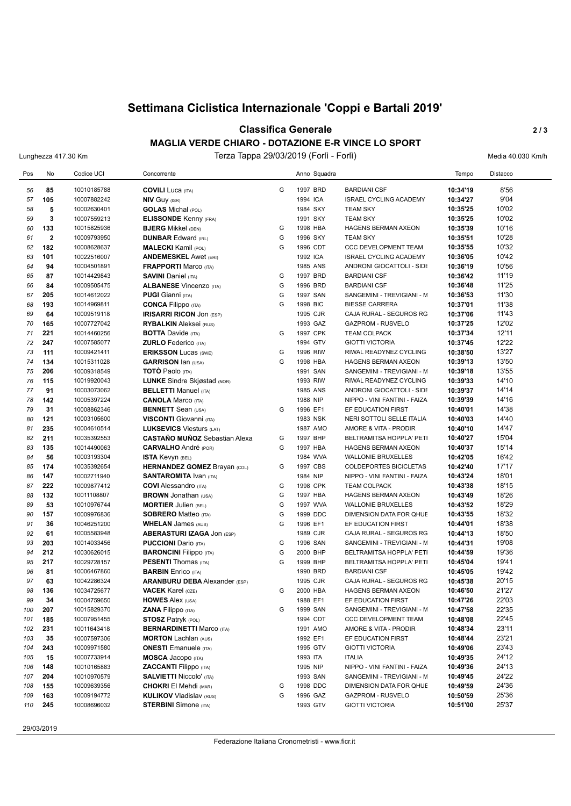# **Settimana Ciclistica Internazionale 'Coppi e Bartali 2019'**

### **Classifica Generale** 2/3

#### **MAGLIA VERDE CHIARO - DOTAZIONE E-R VINCE LO SPORT**

Lunghezza 417.30 Km Terza Tappa 29/03/2019 (Forlì - Forlì) Media 40.030 Km/h

| Pos      | No           | Codice UCI                 | Concorrente                                                   |   |                      | Anno Squadra |                                                        | Tempo                | Distacco       |
|----------|--------------|----------------------------|---------------------------------------------------------------|---|----------------------|--------------|--------------------------------------------------------|----------------------|----------------|
| 56       | 85           | 10010185788                | <b>COVILI Luca (ITA)</b>                                      | G | 1997 BRD             |              | <b>BARDIANI CSF</b>                                    | 10:34'19             | 8'56           |
| 57       | 105          | 10007882242                | <b>NIV GUY (ISR)</b>                                          |   | 1994 ICA             |              | <b>ISRAEL CYCLING ACADEMY</b>                          | 10:34'27             | 9'04           |
| 58       | 5            | 10002630401                | <b>GOLAS</b> Michal (POL)                                     |   | 1984 SKY             |              | <b>TEAM SKY</b>                                        | 10:35'25             | 10'02          |
| 59       | 3            | 10007559213                | <b>ELISSONDE Kenny (FRA)</b>                                  |   | 1991 SKY             |              | <b>TEAM SKY</b>                                        | 10:35'25             | 10'02          |
| 60       | 133          | 10015825936                | <b>BJERG Mikkel (DEN)</b>                                     | G | 1998 HBA             |              | <b>HAGENS BERMAN AXEON</b>                             | 10:35'39             | 10'16          |
| 61       | $\mathbf{2}$ | 10009793950                | <b>DUNBAR Edward (IRL)</b>                                    | G | 1996 SKY             |              | <b>TEAM SKY</b>                                        | 10:35'51             | 10'28          |
| 62       | 182          | 10008628637                | <b>MALECKI Kamil (POL)</b>                                    | G | 1996 CDT             |              | CCC DEVELOPMENT TEAM                                   | 10:35'55             | 10'32          |
| 63       | 101          | 10022516007                | <b>ANDEMESKEL Awet (ERI)</b>                                  |   | 1992 ICA             |              | <b>ISRAEL CYCLING ACADEMY</b>                          | 10:36'05             | 10'42          |
| 64       | 94           | 10004501891                | <b>FRAPPORTI Marco (ITA)</b>                                  |   | 1985 ANS             |              | ANDRONI GIOCATTOLI - SIDE                              | 10:36'19             | 10'56          |
| 65       | 87           | 10014429843                | <b>SAVINI Daniel (ITA)</b>                                    | G | 1997 BRD             |              | <b>BARDIANI CSF</b>                                    | 10:36'42             | 11'19          |
| 66       | 84           | 10009505475                | <b>ALBANESE Vincenzo (ITA)</b>                                | G | 1996 BRD             |              | <b>BARDIANI CSF</b>                                    | 10:36'48             | 11'25          |
| 67       | 205          | 10014612022                | <b>PUGI Gianni</b> (ITA)                                      | G | 1997 SAN             |              | SANGEMINI - TREVIGIANI - M                             | 10:36'53             | 11'30          |
| 68       | 193          | 10014969811                | <b>CONCA Filippo (ITA)</b>                                    | G | 1998 BIC             |              | <b>BIESSE CARRERA</b>                                  | 10:37'01             | 11'38          |
| 69       | 64           | 10009519118                | <b>IRISARRI RICON JON (ESP)</b>                               |   | 1995 CJR             |              | CAJA RURAL - SEGUROS RG                                | 10:37'06             | 11'43          |
| 70       | 165          | 10007727042                | <b>RYBALKIN</b> Aleksei (RUS)                                 |   | 1993 GAZ             |              | <b>GAZPROM - RUSVELO</b>                               | 10:37'25             | 12'02          |
| 71       | 221          | 10014460256                | <b>BOTTA Davide (ITA)</b>                                     | G | 1997 CPK             |              | <b>TEAM COLPACK</b>                                    | 10:37'34             | 12'11          |
| 72       | 247          | 10007585077                | <b>ZURLO</b> Federico (ITA)                                   |   | 1994 GTV             |              | <b>GIOTTI VICTORIA</b>                                 | 10:37'45             | 12'22          |
| 73       | 111          | 10009421411                | <b>ERIKSSON Lucas (SWE)</b>                                   | G | 1996 RIW             |              | RIWAL READYNEZ CYCLING                                 | 10:38'50             | 13'27          |
| 74       | 134          | 10015311028                | <b>GARRISON Ian (USA)</b>                                     | G | 1998 HBA             |              | <b>HAGENS BERMAN AXEON</b>                             | 10:39'13             | 13'50          |
| 75       | 206          | 10009318549                | <b>TOTO Paolo</b> (ITA)                                       |   | 1991 SAN             |              | SANGEMINI - TREVIGIANI - M                             | 10:39'18             | 13'55          |
| 76       | 115          | 10019920043                | <b>LUNKE</b> Sindre Skjøstad (NOR)                            |   | 1993 RIW             |              | RIWAL READYNEZ CYCLING                                 | 10:39'33             | 14'10          |
| 77       | 91           | 10003073062                | <b>BELLETTI Manuel (ITA)</b>                                  |   | 1985 ANS             |              | ANDRONI GIOCATTOLI - SIDE                              | 10:39'37             | 14'14          |
| 78       | 142          | 10005397224                | <b>CANOLA Marco (ITA)</b>                                     |   | 1988 NIP             |              | NIPPO - VINI FANTINI - FAIZA                           | 10:39'39             | 14'16          |
| 79       | 31           | 10008862346                | <b>BENNETT</b> Sean (USA)                                     | G | 1996 EF1             |              | EF EDUCATION FIRST                                     | 10:40'01             | 14'38          |
| 80       | 121          | 10003105600                | <b>VISCONTI</b> Giovanni (ITA)                                |   | 1983 NSK             |              | NERI SOTTOLI SELLE ITALIA                              | 10:40'03             | 14'40          |
| 81       | 235          | 10004610514                | <b>LUKSEVICS Viesturs (LAT)</b>                               |   | 1987 AMO             |              | AMORE & VITA - PRODIR                                  | 10:40'10             | 14'47          |
| 82       | 211          | 10035392553                | <b>CASTAÑO MUÑOZ</b> Sebastian Alexa                          | G | 1997 BHP             |              | BELTRAMITSA HOPPLA' PETI                               | 10:40'27             | 15'04          |
| 83       | 135          | 10014490063                | <b>CARVALHO</b> André (POR)                                   | G | 1997 HBA             |              | <b>HAGENS BERMAN AXEON</b>                             | 10:40'37             | 15'14          |
| 84       | 56           | 10003193304                | <b>ISTA Kevyn (BEL)</b>                                       |   | 1984 WVA             |              | <b>WALLONIE BRUXELLES</b>                              | 10:42'05             | 16'42          |
| 85       | 174          | 10035392654                | <b>HERNANDEZ GOMEZ Brayan (COL)</b>                           | G | 1997 CBS             |              | COLDEPORTES BICICLETAS                                 | 10:42'40             | 17'17          |
| 86       | 147          | 10002711940                | <b>SANTAROMITA IVAN (ITA)</b>                                 |   | 1984 NIP             |              | NIPPO - VINI FANTINI - FAIZA                           | 10:43'24             | 18'01          |
| 87       | 222          | 10009877412                | <b>COVI</b> Alessandro (ITA)                                  | G | 1998 CPK             |              | <b>TEAM COLPACK</b>                                    | 10:43'38             | 18'15          |
| 88       | 132          | 10011108807                | <b>BROWN</b> Jonathan (USA)                                   | G | 1997 HBA             |              | HAGENS BERMAN AXEON                                    | 10:43'49             | 18'26          |
| 89       | 53           | 10010976744                | <b>MORTIER Julien (BEL)</b>                                   | G | 1997 WVA             |              | <b>WALLONIE BRUXELLES</b>                              | 10:43'52             | 18'29          |
| 90       | 157          | 10009976836                | <b>SOBRERO Matteo (ITA)</b>                                   | G | 1999 DDC             |              | DIMENSION DATA FOR QHUE                                | 10:43'55             | 18'32          |
| 91       | 36           | 10046251200                | <b>WHELAN James (AUS)</b>                                     | G | 1996 EF1             |              | EF EDUCATION FIRST                                     | 10:44'01             | 18'38          |
| 92<br>93 | 61<br>203    | 10005583948<br>10014033456 | <b>ABERASTURI IZAGA JON (ESP)</b>                             | G | 1989 CJR<br>1996 SAN |              | CAJA RURAL - SEGUROS RG                                | 10:44'13             | 18'50<br>19'08 |
| 94       | 212          |                            | <b>PUCCIONI</b> Dario (ITA)                                   | G | 2000 BHP             |              | SANGEMINI - TREVIGIANI - M<br>BELTRAMITSA HOPPLA' PETI | 10:44'31<br>10:44'59 | 19'36          |
| 95       | 217          | 10030626015<br>10029728157 | <b>BARONCINI Filippo</b> (ITA)<br><b>PESENTI</b> Thomas (ITA) | G | 1999 BHP             |              | BELTRAMITSA HOPPLA' PETI                               | 10:45'04             | 19'41          |
| 96       | 81           | 10006467860                | <b>BARBIN</b> Enrico (ITA)                                    |   | 1990 BRD             |              | <b>BARDIANI CSF</b>                                    | 10:45'05             | 19'42          |
| 97       | 63           | 10042286324                | <b>ARANBURU DEBA</b> Alexander (ESP)                          |   | 1995 CJR             |              | CAJA RURAL - SEGUROS RG                                | 10:45'38             | 20'15          |
| 98       | 136          | 10034725677                | <b>VACEK Karel (CZE)</b>                                      | G | 2000 HBA             |              | <b>HAGENS BERMAN AXEON</b>                             | 10:46'50             | 21'27          |
| 99       | 34           | 10004759650                | <b>HOWES Alex (USA)</b>                                       |   | 1988 EF1             |              | EF EDUCATION FIRST                                     | 10:47'26             | 22'03          |
| 100      | 207          | 10015829370                | <b>ZANA Filippo</b> (ITA)                                     | G | 1999 SAN             |              | SANGEMINI - TREVIGIANI - M                             | 10:47'58             | 22'35          |
| 101      | 185          | 10007951455                | <b>STOSZ Patryk (POL)</b>                                     |   | 1994 CDT             |              | CCC DEVELOPMENT TEAM                                   | 10:48'08             | 22'45          |
| 102      | 231          | 10011643418                | <b>BERNARDINETTI Marco (ITA)</b>                              |   | 1991 AMO             |              | AMORE & VITA - PRODIR                                  | 10:48'34             | 23'11          |
| 103      | 35           | 10007597306                | <b>MORTON Lachlan (AUS)</b>                                   |   | 1992 EF1             |              | EF EDUCATION FIRST                                     | 10:48'44             | 23'21          |
| 104      | 243          | 10009971580                | <b>ONESTI</b> Emanuele (ITA)                                  |   | 1995 GTV             |              | <b>GIOTTI VICTORIA</b>                                 | 10:49'06             | 23'43          |
| 105      | 15           | 10007733914                | <b>MOSCA Jacopo</b> (ITA)                                     |   | 1993 ITA             |              | <b>ITALIA</b>                                          | 10:49'35             | 24'12          |
| 106      | 148          | 10010165883                | <b>ZACCANTI</b> Filippo (ITA)                                 |   | 1995 NIP             |              | NIPPO - VINI FANTINI - FAIZA                           | 10:49'36             | 24'13          |
| 107      | 204          | 10010970579                | <b>SALVIETTI Niccolo' (ITA)</b>                               |   | 1993 SAN             |              | SANGEMINI - TREVIGIANI - M                             | 10:49'45             | 24'22          |
| 108      | 155          | 10009639356                | <b>CHOKRI El Mehdi (MAR)</b>                                  | G | 1998 DDC             |              | DIMENSION DATA FOR QHUE                                | 10:49'59             | 24'36          |
| 109      | 163          | 10009194772                | <b>KULIKOV Vladislav (RUS)</b>                                | G | 1996 GAZ             |              | GAZPROM - RUSVELO                                      | 10:50'59             | 25'36          |
| 110      | 245          | 10008696032                | <b>STERBINI</b> Simone (ITA)                                  |   | 1993 GTV             |              | <b>GIOTTI VICTORIA</b>                                 | 10:51'00             | 25'37          |
|          |              |                            |                                                               |   |                      |              |                                                        |                      |                |